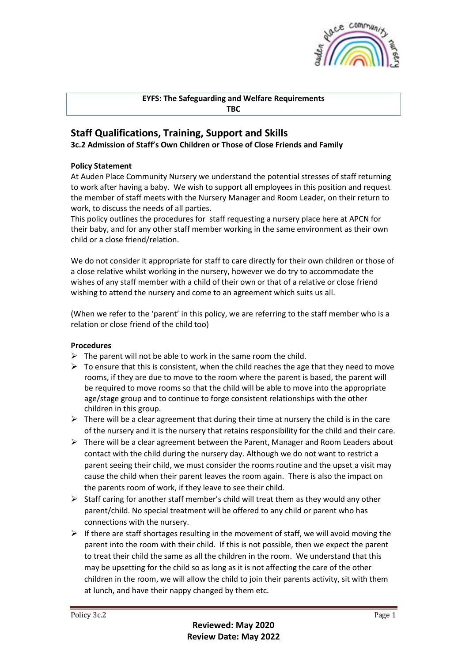

## **EYFS: The Safeguarding and Welfare Requirements TBC**

# **Staff Qualifications, Training, Support and Skills 3c.2 Admission of Staff's Own Children or Those of Close Friends and Family**

## **Policy Statement**

At Auden Place Community Nursery we understand the potential stresses of staff returning to work after having a baby. We wish to support all employees in this position and request the member of staff meets with the Nursery Manager and Room Leader, on their return to work, to discuss the needs of all parties.

This policy outlines the procedures for staff requesting a nursery place here at APCN for their baby, and for any other staff member working in the same environment as their own child or a close friend/relation.

We do not consider it appropriate for staff to care directly for their own children or those of a close relative whilst working in the nursery, however we do try to accommodate the wishes of any staff member with a child of their own or that of a relative or close friend wishing to attend the nursery and come to an agreement which suits us all.

(When we refer to the 'parent' in this policy, we are referring to the staff member who is a relation or close friend of the child too)

## **Procedures**

- $\triangleright$  The parent will not be able to work in the same room the child.
- $\triangleright$  To ensure that this is consistent, when the child reaches the age that they need to move rooms, if they are due to move to the room where the parent is based, the parent will be required to move rooms so that the child will be able to move into the appropriate age/stage group and to continue to forge consistent relationships with the other children in this group.
- $\triangleright$  There will be a clear agreement that during their time at nursery the child is in the care of the nursery and it is the nursery that retains responsibility for the child and their care.
- ➢ There will be a clear agreement between the Parent, Manager and Room Leaders about contact with the child during the nursery day. Although we do not want to restrict a parent seeing their child, we must consider the rooms routine and the upset a visit may cause the child when their parent leaves the room again. There is also the impact on the parents room of work, if they leave to see their child.
- $\triangleright$  Staff caring for another staff member's child will treat them as they would any other parent/child. No special treatment will be offered to any child or parent who has connections with the nursery.
- $\triangleright$  If there are staff shortages resulting in the movement of staff, we will avoid moving the parent into the room with their child. If this is not possible, then we expect the parent to treat their child the same as all the children in the room. We understand that this may be upsetting for the child so as long as it is not affecting the care of the other children in the room, we will allow the child to join their parents activity, sit with them at lunch, and have their nappy changed by them etc.